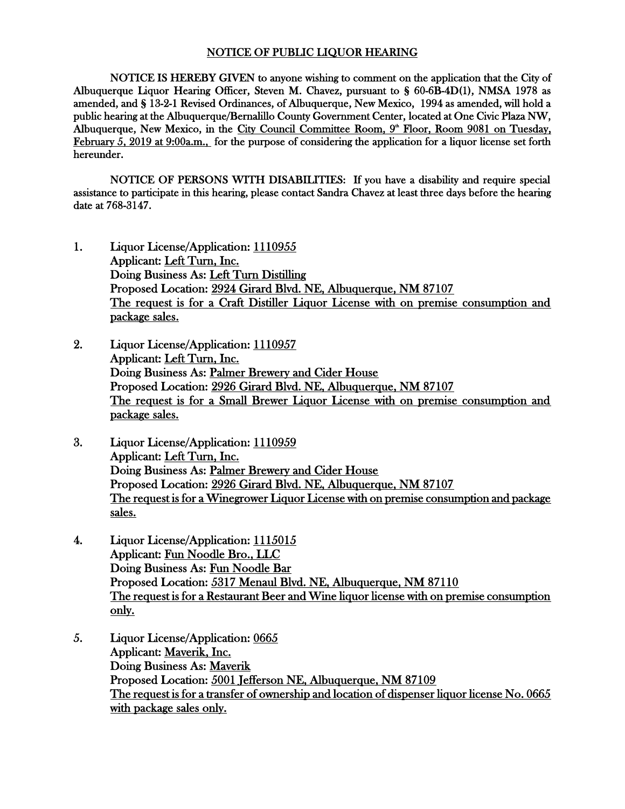## NOTICE OF PUBLIC LIQUOR HEARING

NOTICE IS HEREBY GIVEN to anyone wishing to comment on the application that the City of Albuquerque Liquor Hearing Officer, Steven M. Chavez, pursuant to § 60-6B-4D(1), NMSA 1978 as amended, and § 13-2-1 Revised Ordinances, of Albuquerque, New Mexico, 1994 as amended, will hold a public hearing at the Albuquerque/Bernalillo County Government Center, located at One Civic Plaza NW, Albuquerque, New Mexico, in the City Council Committee Room, 9<sup>th</sup> Floor, Room 9081 on Tuesday, February 5, 2019 at 9:00a.m., for the purpose of considering the application for a liquor license set forth hereunder.

NOTICE OF PERSONS WITH DISABILITIES: If you have a disability and require special assistance to participate in this hearing, please contact Sandra Chavez at least three days before the hearing date at 768-3147.

- 1. Liquor License/Application: 1110955 Applicant: Left Turn, Inc. Doing Business As: Left Turn Distilling Proposed Location: 2924 Girard Blvd. NE, Albuquerque, NM 87107 The request is for a Craft Distiller Liquor License with on premise consumption and package sales.
- 2. Liquor License/Application: 1110957 Applicant: Left Turn, Inc. Doing Business As: Palmer Brewery and Cider House Proposed Location: 2926 Girard Blvd. NE, Albuquerque, NM 87107 The request is for a Small Brewer Liquor License with on premise consumption and package sales.
- 3. Liquor License/Application: 1110959 Applicant: Left Turn, Inc. Doing Business As: Palmer Brewery and Cider House Proposed Location: 2926 Girard Blvd. NE, Albuquerque, NM 87107 The request is for a Winegrower Liquor License with on premise consumption and package sales.
- 4. Liquor License/Application: 1115015 Applicant: Fun Noodle Bro., LLC Doing Business As: Fun Noodle Bar Proposed Location: 5317 Menaul Blvd. NE, Albuquerque, NM 87110 The request is for a Restaurant Beer and Wine liquor license with on premise consumption only.
- 5. Liquor License/Application: 0665 Applicant: Maverik, Inc. Doing Business As: Maverik Proposed Location: 5001 Jefferson NE, Albuquerque, NM 87109 The request is for a transfer of ownership and location of dispenser liquor license No. 0665 with package sales only.